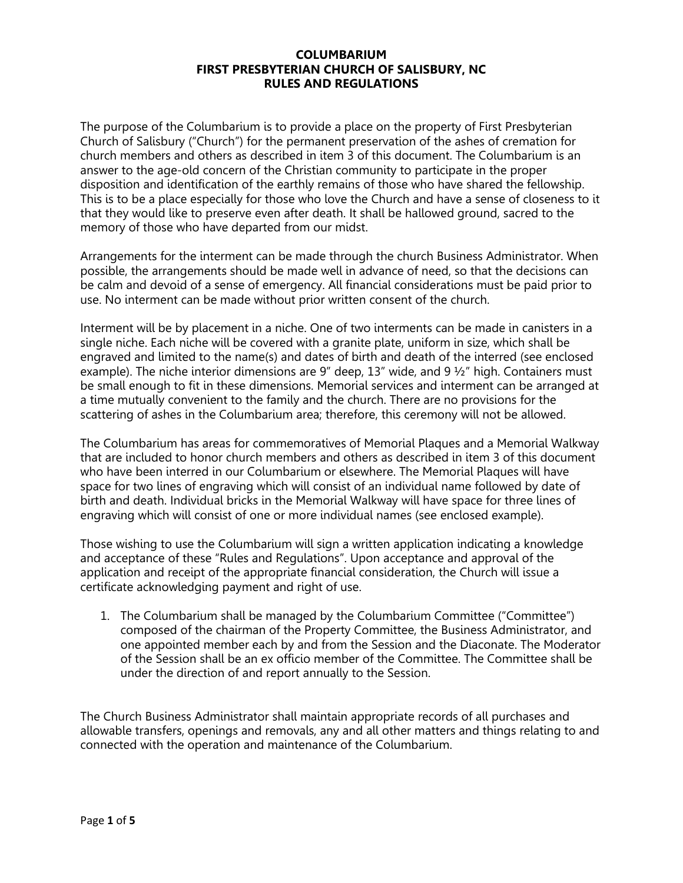## **COLUMBARIUM FIRST PRESBYTERIAN CHURCH OF SALISBURY, NC RULES AND REGULATIONS**

The purpose of the Columbarium is to provide a place on the property of First Presbyterian Church of Salisbury ("Church") for the permanent preservation of the ashes of cremation for church members and others as described in item 3 of this document. The Columbarium is an answer to the age-old concern of the Christian community to participate in the proper disposition and identification of the earthly remains of those who have shared the fellowship. This is to be a place especially for those who love the Church and have a sense of closeness to it that they would like to preserve even after death. It shall be hallowed ground, sacred to the memory of those who have departed from our midst.

Arrangements for the interment can be made through the church Business Administrator. When possible, the arrangements should be made well in advance of need, so that the decisions can be calm and devoid of a sense of emergency. All financial considerations must be paid prior to use. No interment can be made without prior written consent of the church.

Interment will be by placement in a niche. One of two interments can be made in canisters in a single niche. Each niche will be covered with a granite plate, uniform in size, which shall be engraved and limited to the name(s) and dates of birth and death of the interred (see enclosed example). The niche interior dimensions are 9" deep, 13" wide, and 9 ½" high. Containers must be small enough to fit in these dimensions. Memorial services and interment can be arranged at a time mutually convenient to the family and the church. There are no provisions for the scattering of ashes in the Columbarium area; therefore, this ceremony will not be allowed.

The Columbarium has areas for commemoratives of Memorial Plaques and a Memorial Walkway that are included to honor church members and others as described in item 3 of this document who have been interred in our Columbarium or elsewhere. The Memorial Plaques will have space for two lines of engraving which will consist of an individual name followed by date of birth and death. Individual bricks in the Memorial Walkway will have space for three lines of engraving which will consist of one or more individual names (see enclosed example).

Those wishing to use the Columbarium will sign a written application indicating a knowledge and acceptance of these "Rules and Regulations". Upon acceptance and approval of the application and receipt of the appropriate financial consideration, the Church will issue a certificate acknowledging payment and right of use.

1. The Columbarium shall be managed by the Columbarium Committee ("Committee") composed of the chairman of the Property Committee, the Business Administrator, and one appointed member each by and from the Session and the Diaconate. The Moderator of the Session shall be an ex officio member of the Committee. The Committee shall be under the direction of and report annually to the Session.

The Church Business Administrator shall maintain appropriate records of all purchases and allowable transfers, openings and removals, any and all other matters and things relating to and connected with the operation and maintenance of the Columbarium.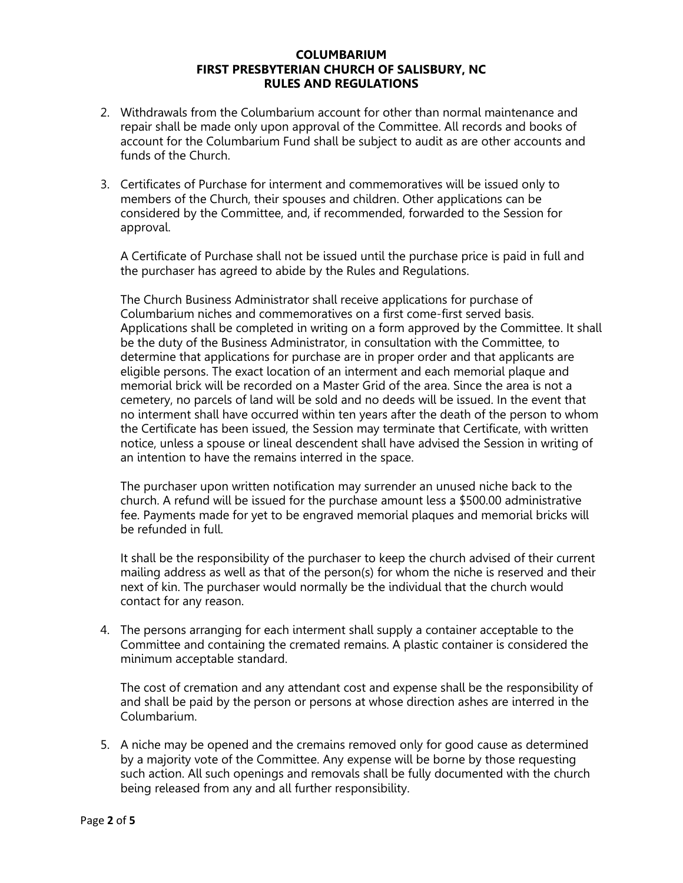## **COLUMBARIUM FIRST PRESBYTERIAN CHURCH OF SALISBURY, NC RULES AND REGULATIONS**

- 2. Withdrawals from the Columbarium account for other than normal maintenance and repair shall be made only upon approval of the Committee. All records and books of account for the Columbarium Fund shall be subject to audit as are other accounts and funds of the Church.
- 3. Certificates of Purchase for interment and commemoratives will be issued only to members of the Church, their spouses and children. Other applications can be considered by the Committee, and, if recommended, forwarded to the Session for approval.

A Certificate of Purchase shall not be issued until the purchase price is paid in full and the purchaser has agreed to abide by the Rules and Regulations.

The Church Business Administrator shall receive applications for purchase of Columbarium niches and commemoratives on a first come-first served basis. Applications shall be completed in writing on a form approved by the Committee. It shall be the duty of the Business Administrator, in consultation with the Committee, to determine that applications for purchase are in proper order and that applicants are eligible persons. The exact location of an interment and each memorial plaque and memorial brick will be recorded on a Master Grid of the area. Since the area is not a cemetery, no parcels of land will be sold and no deeds will be issued. In the event that no interment shall have occurred within ten years after the death of the person to whom the Certificate has been issued, the Session may terminate that Certificate, with written notice, unless a spouse or lineal descendent shall have advised the Session in writing of an intention to have the remains interred in the space.

The purchaser upon written notification may surrender an unused niche back to the church. A refund will be issued for the purchase amount less a \$500.00 administrative fee. Payments made for yet to be engraved memorial plaques and memorial bricks will be refunded in full.

It shall be the responsibility of the purchaser to keep the church advised of their current mailing address as well as that of the person(s) for whom the niche is reserved and their next of kin. The purchaser would normally be the individual that the church would contact for any reason.

4. The persons arranging for each interment shall supply a container acceptable to the Committee and containing the cremated remains. A plastic container is considered the minimum acceptable standard.

The cost of cremation and any attendant cost and expense shall be the responsibility of and shall be paid by the person or persons at whose direction ashes are interred in the Columbarium.

5. A niche may be opened and the cremains removed only for good cause as determined by a majority vote of the Committee. Any expense will be borne by those requesting such action. All such openings and removals shall be fully documented with the church being released from any and all further responsibility.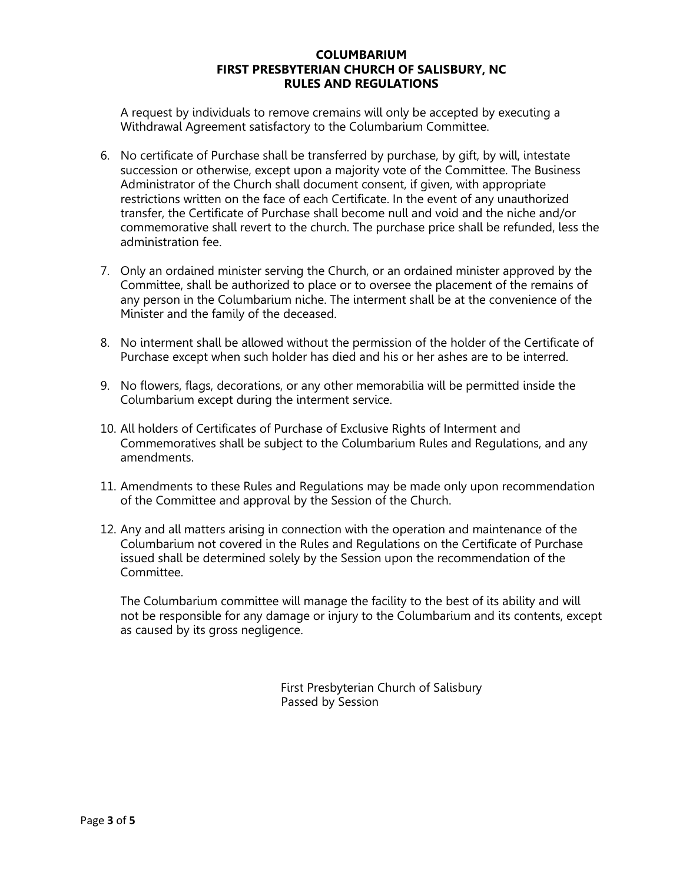## **COLUMBARIUM FIRST PRESBYTERIAN CHURCH OF SALISBURY, NC RULES AND REGULATIONS**

A request by individuals to remove cremains will only be accepted by executing a Withdrawal Agreement satisfactory to the Columbarium Committee.

- 6. No certificate of Purchase shall be transferred by purchase, by gift, by will, intestate succession or otherwise, except upon a majority vote of the Committee. The Business Administrator of the Church shall document consent, if given, with appropriate restrictions written on the face of each Certificate. In the event of any unauthorized transfer, the Certificate of Purchase shall become null and void and the niche and/or commemorative shall revert to the church. The purchase price shall be refunded, less the administration fee.
- 7. Only an ordained minister serving the Church, or an ordained minister approved by the Committee, shall be authorized to place or to oversee the placement of the remains of any person in the Columbarium niche. The interment shall be at the convenience of the Minister and the family of the deceased.
- 8. No interment shall be allowed without the permission of the holder of the Certificate of Purchase except when such holder has died and his or her ashes are to be interred.
- 9. No flowers, flags, decorations, or any other memorabilia will be permitted inside the Columbarium except during the interment service.
- 10. All holders of Certificates of Purchase of Exclusive Rights of Interment and Commemoratives shall be subject to the Columbarium Rules and Regulations, and any amendments.
- 11. Amendments to these Rules and Regulations may be made only upon recommendation of the Committee and approval by the Session of the Church.
- 12. Any and all matters arising in connection with the operation and maintenance of the Columbarium not covered in the Rules and Regulations on the Certificate of Purchase issued shall be determined solely by the Session upon the recommendation of the Committee.

The Columbarium committee will manage the facility to the best of its ability and will not be responsible for any damage or injury to the Columbarium and its contents, except as caused by its gross negligence.

> First Presbyterian Church of Salisbury Passed by Session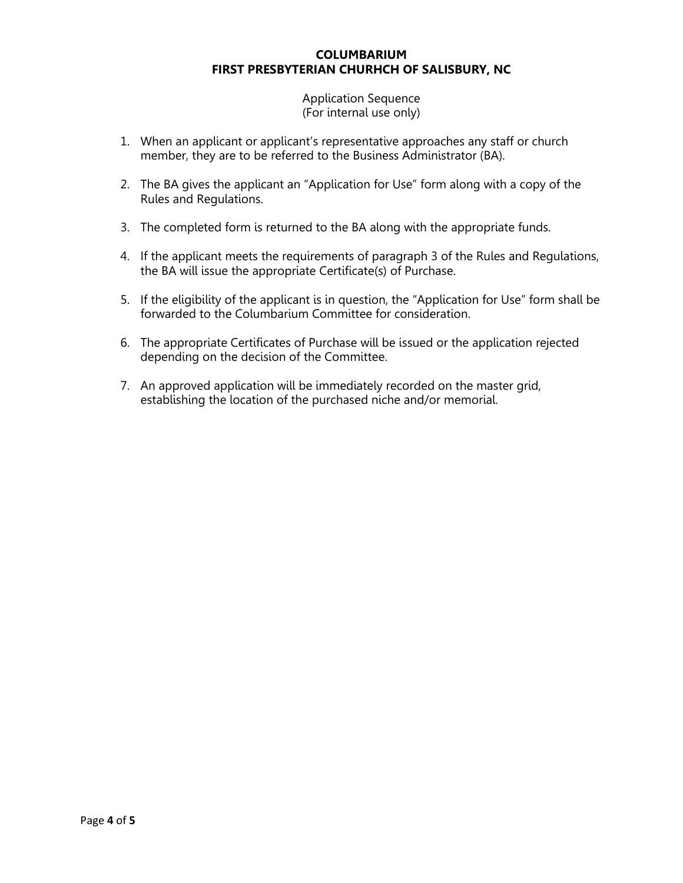## **COLUMBARIUM FIRST PRESBYTERIAN CHURHCH OF SALISBURY, NC**

Application Sequence (For internal use only)

- 1. When an applicant or applicant's representative approaches any staff or church member, they are to be referred to the Business Administrator (BA).
- 2. The BA gives the applicant an "Application for Use" form along with a copy of the Rules and Regulations.
- 3. The completed form is returned to the BA along with the appropriate funds.
- 4. If the applicant meets the requirements of paragraph 3 of the Rules and Regulations, the BA will issue the appropriate Certificate(s) of Purchase.
- 5. If the eligibility of the applicant is in question, the "Application for Use" form shall be forwarded to the Columbarium Committee for consideration.
- 6. The appropriate Certificates of Purchase will be issued or the application rejected depending on the decision of the Committee.
- 7. An approved application will be immediately recorded on the master grid, establishing the location of the purchased niche and/or memorial.